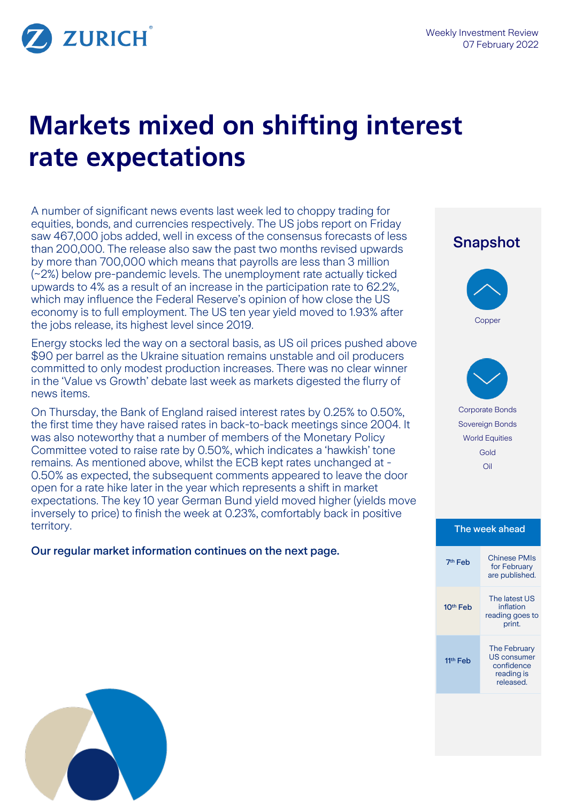

# **Markets mixed on shifting interest rate expectations**

A number of significant news events last week led to choppy trading for equities, bonds, and currencies respectively. The US jobs report on Friday saw 467,000 jobs added, well in excess of the consensus forecasts of less than 200,000. The release also saw the past two months revised upwards by more than 700,000 which means that payrolls are less than 3 million (~2%) below pre-pandemic levels. The unemployment rate actually ticked upwards to 4% as a result of an increase in the participation rate to 62.2%, which may influence the Federal Reserve's opinion of how close the US economy is to full employment. The US ten year yield moved to 1.93% after the jobs release, its highest level since 2019.

Energy stocks led the way on a sectoral basis, as US oil prices pushed above \$90 per barrel as the Ukraine situation remains unstable and oil producers committed to only modest production increases. There was no clear winner in the 'Value vs Growth' debate last week as markets digested the flurry of news items.

On Thursday, the Bank of England raised interest rates by 0.25% to 0.50%, the first time they have raised rates in back-to-back meetings since 2004. It was also noteworthy that a number of members of the Monetary Policy Committee voted to raise rate by 0.50%, which indicates a 'hawkish' tone remains. As mentioned above, whilst the ECB kept rates unchanged at - 0.50% as expected, the subsequent comments appeared to leave the door open for a rate hike later in the year which represents a shift in market expectations. The key 10 year German Bund yield moved higher (yields move inversely to price) to finish the week at 0.23%, comfortably back in positive territory.

Our regular market information continues on the next page.